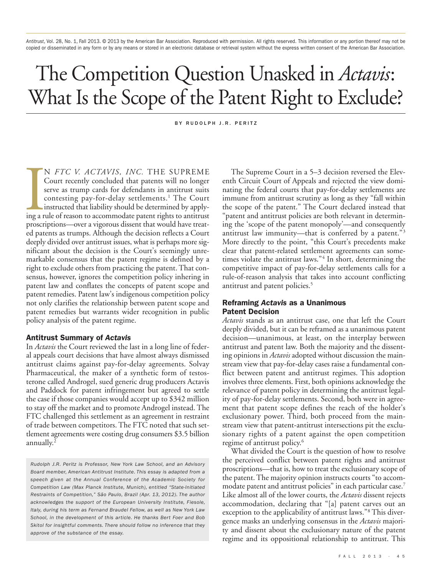*Antitrust*, Vol. 28, No. 1, Fall 2013. © 2013 by the American Bar Association. Reproduced with permission. All rights reserved. This information or any portion thereof may not be copied or disseminated in any form or by any means or stored in an electronic database or retrieval system without the express written consent of the American Bar Association.

# The Competition Question Unasked in *Actavis*: What Is the Scope of the Patent Right to Exclude?

BY RUDOLPH J.R. PERITZ

IN FTC V. ACTAVIS, INC. THE SUPREME<br>Court recently concluded that patents will no longer<br>serve as trump cards for defendants in antitrust suits<br>contesting pay-for-delay settlements.<sup>1</sup> The Court<br>instructed that liability s N *FTC V. ACTAVIS, INC.* THE SUPREME Court recently concluded that patents will no longer serve as trump cards for defendants in antitrust suits contesting pay-for-delay settlements. <sup>1</sup> The Court instructed that liability should be determined by applyproscriptions—over a vigorous dissent that would have treated patents as trumps. Although the decision reflects a Court deeply divided over antitrust issues, what is perhaps more significant about the decision is the Court's seemingly unremarkable consensus that the patent regime is defined by a right to exclude others from practicing the patent. That consensus, however, ignores the competition policy inhering in patent law and conflates the concepts of patent scope and patent remedies. Patent law's indigenous competition policy not only clarifies the relationship between patent scope and patent remedies but warrants wider recognition in public policy analysis of the patent regime.

## **Antitrust Summary of** *Actavis*

In *Actavis* the Court reviewed the last in a long line of federal appeals court decisions that have almost always dismissed antitrust claims against pay-for-delay agreements. Solvay Pharmaceutical, the maker of a synthetic form of testosterone called Androgel, sued generic drug producers Actavis and Paddock for patent infringement but agreed to settle the case if those companies would accept up to \$342 million to stay off the market and to promote Androgel instead. The FTC challenged this settlement as an agreement in restraint of trade between competitors. The FTC noted that such settlement agreements were costing drug consumers \$3.5 billion annually. 2

The Supreme Court in a 5–3 decision reversed the Eleventh Circuit Court of Appeals and rejected the view dominating the federal courts that pay-for-delay settlements are immune from antitrust scrutiny as long as they "fall within the scope of the patent." The Court declared instead that "patent and antitrust policies are both relevant in determining the 'scope of the patent monopoly'—and consequently antitrust law immunity—that is conferred by a patent."3 More directly to the point, "this Court's precedents make clear that patent-related settlement agreements can sometimes violate the antitrust laws."<sup>4</sup> In short, determining the competitive impact of pay-for-delay settlements calls for a rule-of-reason analysis that takes into account conflicting antitrust and patent policies. 5

## **Reframing** *Actavis* **as a Unanimous Patent Decision**

*Actavis* stands as an antitrust case, one that left the Court deeply divided, but it can be reframed as a unanimous patent decision—unanimous, at least, on the interplay between antitrust and patent law. Both the majority and the dissenting opinions in *Actavis* adopted without discussion the mainstream view that pay-for-delay cases raise a fundamental conflict between patent and antitrust regimes. This adoption involves three elements. First, both opinions acknowledge the relevance of patent policy in determining the antitrust legality of pay-for-delay settlements. Second, both were in agreement that patent scope defines the reach of the holder's exclusionary power. Third, both proceed from the mainstream view that patent-antitrust intersections pit the exclusionary rights of a patent against the open competition regime of antitrust policy. 6

What divided the Court is the question of how to resolve the perceived conflict between patent rights and antitrust proscriptions—that is, how to treat the exclusionary scope of the patent.The majority opinion instructs courts "to accommodate patent and antitrust policies" in each particular case. 7 Like almost all of the lower courts, the *Actavis* dissent rejects accommodation, declaring that "[a] patent carves out an exception to the applicability of antitrust laws."8 This divergence masks an underlying consensus in the *Actavis* majority and dissent about the exclusionary nature of the patent regime and its oppositional relationship to antitrust. This

*Rudolph J.R. Peritz is Professor, New York Law School, and an Advisory Board member, American Antitrust Institute. This essay is adapted from a speech given at the Annual Conference of the Academic Society for Competition Law (Max Planck Institute, Munich), entitled "State-Initiated Restraints of Competition," São Paulo, Brazil (Apr. 13, 2012). The author acknowledges the support of the European University Institute, Fiesole, Italy, during his term as Fernand Braudel Fellow, as well as New York Law School, in the development of this article. He thanks Bert Foer and Bob Skitol for insightful comments. There should follow no inference that they approve of the substance of the essay.*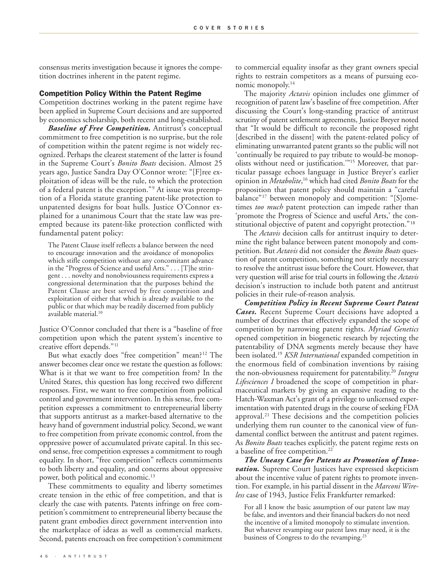consensus merits investigation because it ignores the competition doctrines inherent in the patent regime.

#### **Competition Policy Within the Patent Regime**

Competition doctrines working in the patent regime have been applied in Supreme Court decisions and are supported by economics scholarship, both recent and long-established.

*Baseline of Free Competition.* Antitrust's conceptual commitment to free competition is no surprise, but the role of competition within the patent regime is not widely recognized. Perhaps the clearest statement of the latter is found in the Supreme Court's *Bonito Boats* decision. Almost 25 years ago, Justice Sandra Day O'Connor wrote: "[F]ree exploitation of ideas will be the rule, to which the protection of a federal patent is the exception."9 At issue was preemption of a Florida statute granting patent-like protection to unpatented designs for boat hulls. Justice O'Connor explained for a unanimous Court that the state law was preempted because its patent-like protection conflicted with fundamental patent policy:

The Patent Clause itself reflects a balance between the need to encourage innovation and the avoidance of monopolies which stifle competition without any concomitant advance in the "Progress of Science and useful Arts." . . . [T]he stringent . . . novelty and nonobviousness requirements express a congressional determination that the purposes behind the Patent Clause are best served by free competition and exploitation of either that which is already available to the public or that which may be readily discerned from publicly available material. 10

Justice O'Connor concluded that there is a "baseline of free competition upon which the patent system's incentive to creative effort depends."11

But what exactly does "free competition" mean?<sup>12</sup> The answer becomes clear once we restate the question as follows: What is it that we want to free competition from? In the United States, this question has long received two different responses. First, we want to free competition from political control and government intervention. In this sense, free competition expresses a commitment to entrepreneurial liberty that supports antitrust as a market-based alternative to the heavy hand of government industrial policy. Second, we want to free competition from private economic control, from the oppressive power of accumulated private capital. In this second sense, free competition expresses a commitment to rough equality. In short, "free competition" reflects commitments to both liberty and equality, and concerns about oppressive power, both political and economic. 13

These commitments to equality and liberty sometimes create tension in the ethic of free competition, and that is clearly the case with patents. Patents infringe on free competition's commitment to entrepreneurial liberty because the patent grant embodies direct government intervention into the marketplace of ideas as well as commercial markets. Second, patents encroach on free competition's commitment

to commercial equality insofar as they grant owners special rights to restrain competitors as a means of pursuing economic monopoly. 14

The majority *Actavis* opinion includes one glimmer of recognition of patent law's baseline of free competition. After discussing the Court's long-standing practice of antitrust scrutiny of patent settlement agreements, Justice Breyer noted that "It would be difficult to reconcile the proposed right [described in the dissent] with the patent-related policy of eliminating unwarranted patent grants so the public will not 'continually be required to pay tribute to would-be monopolists without need or justification.'"15 Moreover, that particular passage echoes language in Justice Breyer's earlier opinion in *Metabolite*, <sup>16</sup> which had cited *Bonito Boats* for the proposition that patent policy should maintain a "careful balance"17 between monopoly and competition: "[S]ometimes *too much* patent protection can impede rather than 'promote the Progress of Science and useful Arts,' the constitutional objective of patent and copyright protection."<sup>18</sup>

The *Actavis* decision calls for antitrust inquiry to determine the right balance between patent monopoly and competition. But *Actavis* did not consider the *Bonito Boats* question of patent competition, something not strictly necessary to resolve the antitrust issue before the Court. However, that very question will arise for trial courts in following the *Actavis* decision's instruction to include both patent and antitrust policies in their rule-of-reason analysis.

*Competition Policy in Recent Supreme Court Patent Cases.* Recent Supreme Court decisions have adopted a number of doctrines that effectively expanded the scope of competition by narrowing patent rights. *Myriad Genetics* opened competition in biogenetic research by rejecting the patentability of DNA segments merely because they have been isolated. <sup>19</sup> *KSR International* expanded competition in the enormous field of combination inventions by raising the non-obviousness requirement for patentability. <sup>20</sup> *Integra Lifesciences I* broadened the scope of competition in pharmaceutical markets by giving an expansive reading to the Hatch-Waxman Act's grant of a privilege to unlicensed experimentation with patented drugs in the course of seeking FDA approval. <sup>21</sup> These decisions and the competition policies underlying them run counter to the canonical view of fundamental conflict between the antitrust and patent regimes. As *Bonito Boats* teaches explicitly, the patent regime rests on a baseline of free competition. 22

*The Uneasy Case for Patents as Promotion of Innovation.* Supreme Court Justices have expressed skepticism about the incentive value of patent rights to promote invention. For example, in his partial dissent in the *Marconi Wireless* case of 1943, Justice Felix Frankfurter remarked:

For all I know the basic assumption of our patent law may be false, and inventors and their financial backers do not need the incentive of a limited monopoly to stimulate invention. But whatever revamping our patent laws may need, it is the business of Congress to do the revamping. 23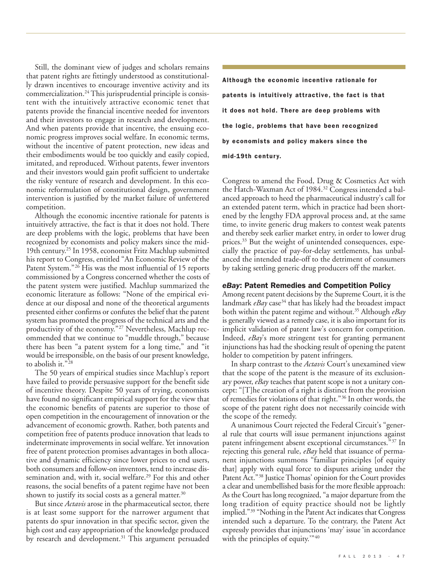Still, the dominant view of judges and scholars remains that patent rights are fittingly understood as constitutionally drawn incentives to encourage inventive activity and its commercialization. <sup>24</sup> This jurisprudential principle is consistent with the intuitively attractive economic tenet that patents provide the financial incentive needed for inventors and their investors to engage in research and development. And when patents provide that incentive, the ensuing economic progress improves social welfare. In economic terms, without the incentive of patent protection, new ideas and their embodiments would be too quickly and easily copied, imitated, and reproduced. Without patents, fewer inventors and their investors would gain profit sufficient to undertake the risky venture of research and development. In this economic reformulation of constitutional design, government intervention is justified by the market failure of unfettered competition.

Although the economic incentive rationale for patents is intuitively attractive, the fact is that it does not hold. There are deep problems with the logic, problems that have been recognized by economists and policy makers since the mid-19th century. <sup>25</sup> In 1958, economist Fritz Machlup submitted his report to Congress, entitled "An Economic Review of the Patent System."<sup>26</sup> His was the most influential of 15 reports commissioned by a Congress concerned whether the costs of the patent system were justified. Machlup summarized the economic literature as follows: "None of the empirical evidence at our disposal and none of the theoretical arguments presented either confirms or confutes the belief that the patent system has promoted the progress of the technical arts and the productivity of the economy."<sup>27</sup> Nevertheless, Machlup recommended that we continue to "muddle through," because there has been "a patent system for a long time," and "it would be irresponsible, on the basis of our present knowledge, to abolish it."<sup>28</sup>

The 50 years of empirical studies since Machlup's report have failed to provide persuasive support for the benefit side of incentive theory. Despite 50 years of trying, economists have found no significant empirical support for the view that the economic benefits of patents are superior to those of open competition in the encouragement of innovation or the advancement of economic growth. Rather, both patents and competition free of patents produce innovation that leads to indeterminate improvements in social welfare. Yet innovation free of patent protection promises advantages in both allocative and dynamic efficiency since lower prices to end users, both consumers and follow-on inventors, tend to increase dissemination and, with it, social welfare. <sup>29</sup> For this and other reasons, the social benefits of a patent regime have not been shown to justify its social costs as a general matter. $^{30}$ 

But since *Actavis* arose in the pharmaceutical sector, there is at least some support for the narrower argument that patents do spur innovation in that specific sector, given the high cost and easy appropriation of the knowledge produced by research and development. <sup>31</sup> This argument persuaded

**Although the economic incentive rationale for patents is intuitively attractive, the fact is that it does not hold. There are deep problems with the logic, problems that have been recognized by economists and policy makers since the mid-19th centur y.**

Congress to amend the Food, Drug & Cosmetics Act with the Hatch-Waxman Act of 1984. <sup>32</sup> Congress intended a balanced approach to heed the pharmaceutical industry's call for an extended patent term, which in practice had been shortened by the lengthy FDA approval process and, at the same time, to invite generic drug makers to contest weak patents and thereby seek earlier market entry, in order to lower drug prices.<sup>33</sup> But the weight of unintended consequences, especially the practice of pay-for-delay settlements, has unbalanced the intended trade-off to the detriment of consumers by taking settling generic drug producers off the market.

### *eBay***: Patent Remedies and Competition Policy**

Among recent patent decisions by the Supreme Court, it is the landmark *eBay* case<sup>34</sup> that has likely had the broadest impact both within the patent regime and without. <sup>35</sup> Although *eBay* is generally viewed as a remedy case, it is also important for its implicit validation of patent law's concern for competition. Indeed, *eBay*'s more stringent test for granting permanent injunctions has had the shocking result of opening the patent holder to competition by patent infringers.

In sharp contrast to the *Actavis* Court's unexamined view that the scope of the patent is the measure of its exclusionary power, *eBay* teaches that patent scope is not a unitary concept: "[T]he creation of a right is distinct from the provision of remedies for violations of that right."36 In other words, the scope of the patent right does not necessarily coincide with the scope of the remedy.

A unanimous Court rejected the Federal Circuit's "general rule that courts will issue permanent injunctions against patent infringement absent exceptional circumstances."37 In rejecting this general rule, *eBay* held that issuance of permanent injunctions summons "familiar principles [of equity that] apply with equal force to disputes arising under the Patent Act."<sup>38</sup> Justice Thomas' opinion for the Court provides a clear and unembellished basis for the more flexible approach: As the Court has long recognized, "a major departure from the long tradition of equity practice should not be lightly implied."39 "Nothing in the Patent Act indicates that Congress intended such a departure. To the contrary, the Patent Act expressly provides that injunctions 'may' issue 'in accordance with the principles of equity."<sup>40</sup>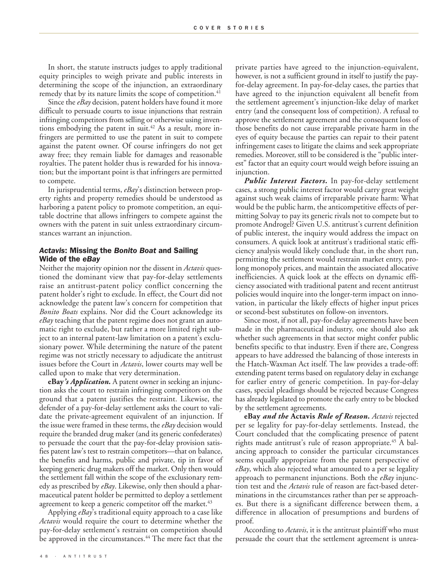In short, the statute instructs judges to apply traditional equity principles to weigh private and public interests in determining the scope of the injunction, an extraordinary remedy that by its nature limits the scope of competition. 41

Since the *eBay* decision, patent holders have found it more difficult to persuade courts to issue injunctions that restrain infringing competitors from selling or otherwise using inventions embodying the patent in suit. <sup>42</sup> As a result, more infringers are permitted to use the patent in suit to compete against the patent owner. Of course infringers do not get away free; they remain liable for damages and reasonable royalties. The patent holder thus is rewarded for his innovation; but the important point is that infringers are permitted to compete.

In jurisprudential terms, *eBay*'s distinction between property rights and property remedies should be understood as harboring a patent policy to promote competition, an equitable doctrine that allows infringers to compete against the owners with the patent in suit unless extraordinary circumstances warrant an injunction.

## *Actavis***: Missing the** *Bonito Boat* **and Sailing Wide of the** *eBay*

Neither the majority opinion nor the dissent in *Actavis* questioned the dominant view that pay-for-delay settlements raise an antitrust-patent policy conflict concerning the patent holder's right to exclude. In effect, the Court did not acknowledge the patent law's concern for competition that *Bonito Boats* explains. Nor did the Court acknowledge its *eBay* teaching that the patent regime does not grant an automatic right to exclude, but rather a more limited right subject to an internal patent-law limitation on a patent's exclusionary power. While determining the nature of the patent regime was not strictly necessary to adjudicate the antitrust issues before the Court in *Actavis*, lower courts may well be called upon to make that very determination.

**eBay***'s Application.* A patent owner in seeking an injunction asks the court to restrain infringing competitors on the ground that a patent justifies the restraint. Likewise, the defender of a pay-for-delay settlement asks the court to validate the private-agreement equivalent of an injunction. If the issue were framed in these terms, the *eBay* decision would require the branded drug maker (and its generic confederates) to persuade the court that the pay-for-delay provision satisfies patent law's test to restrain competitors—that on balance, the benefits and harms, public and private, tip in favor of keeping generic drug makers off the market. Only then would the settlement fall within the scope of the exclusionary remedy as prescribed by *eBay*. Likewise, only then should a pharmaceutical patent holder be permitted to deploy a settlement agreement to keep a generic competitor off the market. 43

Applying *eBay*'s traditional equity approach to a case like *Actavis* would require the court to determine whether the pay-for-delay settlement's restraint on competition should be approved in the circumstances. <sup>44</sup> The mere fact that the

private parties have agreed to the injunction-equivalent, however, is not a sufficient ground in itself to justify the payfor-delay agreement. In pay-for-delay cases, the parties that have agreed to the injunction equivalent all benefit from the settlement agreement's injunction-like delay of market entry (and the consequent loss of competition). A refusal to approve the settlement agreement and the consequent loss of those benefits do not cause irreparable private harm in the eyes of equity because the parties can repair to their patent infringement cases to litigate the claims and seek appropriate remedies. Moreover, still to be considered is the "public interest" factor that an equity court would weigh before issuing an injunction.

*Public Interest Factors.* In pay-for-delay settlement cases, a strong public interest factor would carry great weight against such weak claims of irreparable private harm: What would be the public harm, the anticompetitive effects of permitting Solvay to pay its generic rivals not to compete but to promote Androgel? Given U.S. antitrust's current definition of public interest, the inquiry would address the impact on consumers. A quick look at antitrust's traditional static efficiency analysis would likely conclude that, in the short run, permitting the settlement would restrain market entry, prolong monopoly prices, and maintain the associated allocative inefficiencies. A quick look at the effects on dynamic efficiency associated with traditional patent and recent antitrust policies would inquire into the longer-term impact on innovation, in particular the likely effects of higher input prices or second-best substitutes on follow-on inventors.

Since most, if not all, pay-for-delay agreements have been made in the pharmaceutical industry, one should also ask whether such agreements in that sector might confer public benefits specific to that industry. Even if there are, Congress appears to have addressed the balancing of those interests in the Hatch-Waxman Act itself. The law provides a trade-off: extending patent terms based on regulatory delay in exchange for earlier entry of generic competition. In pay-for-delay cases, special pleadings should be rejected because Congress has already legislated to promote the early entry to be blocked by the settlement agreements.

**eBay** *and the* **Actavis** *Rule of Reason. Actavis* rejected per se legality for pay-for-delay settlements. Instead, the Court concluded that the complicating presence of patent rights made antitrust's rule of reason appropriate. <sup>45</sup> A balancing approach to consider the particular circumstances seems equally appropriate from the patent perspective of *eBay*, which also rejected what amounted to a per se legality approach to permanent injunctions. Both the *eBay* injunction test and the *Actavis* rule of reason are fact-based determinations in the circumstances rather than per se approaches. But there is a significant difference between them, a difference in allocation of presumptions and burdens of proof.

According to *Actavis*, it is the antitrust plaintiff who must persuade the court that the settlement agreement is unrea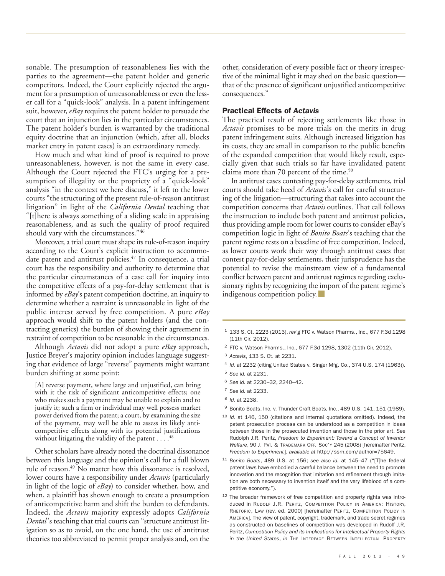sonable. The presumption of reasonableness lies with the parties to the agreement—the patent holder and generic competitors. Indeed, the Court explicitly rejected the argument for a presumption of unreasonableness or even the lesser call for a "quick-look" analysis. In a patent infringement suit, however, *eBay* requires the patent holder to persuade the court that an injunction lies in the particular circumstances. The patent holder's burden is warranted by the traditional equity doctrine that an injunction (which, after all, blocks market entry in patent cases) is an extraordinary remedy.

How much and what kind of proof is required to prove unreasonableness, however, is not the same in every case. Although the Court rejected the FTC's urging for a presumption of illegality or the propriety of a "quick-look" analysis "in the context we here discuss," it left to the lower courts "the structuring of the present rule-of-reason antitrust litigation" in light of the *California Dental* teaching that "[t]here is always something of a sliding scale in appraising reasonableness, and as such the quality of proof required should vary with the circumstances."46

Moreover, a trial court must shape its rule-of-reason inquiry according to the Court's explicit instruction to accommodate patent and antitrust policies. <sup>47</sup> In consequence, a trial court has the responsibility and authority to determine that the particular circumstances of a case call for inquiry into the competitive effects of a pay-for-delay settlement that is informed by *eBay*'s patent competition doctrine, an inquiry to determine whether a restraint is unreasonable in light of the public interest served by free competition. A pure *eBay* approach would shift to the patent holders (and the contracting generics) the burden of showing their agreement in restraint of competition to be reasonable in the circumstances.

Although *Actavis* did not adopt a pure *eBay* approach, Justice Breyer's majority opinion includes language suggesting that evidence of large "reverse" payments might warrant burden shifting at some point:

[A] reverse payment, where large and unjustified, can bring with it the risk of significant anticompetitive effects; one who makes such a payment may be unable to explain and to justify it; such a firm or individual may well possess market power derived from the patent; a court, by examining the size of the payment, may well be able to assess its likely anticompetitive effects along with its potential justifications without litigating the validity of the patent . . . . 48

Other scholars have already noted the doctrinal dissonance between this language and the opinion's call for a full blown rule of reason. <sup>49</sup> No matter how this dissonance is resolved, lower courts have a responsibility under *Actavis* (particularly in light of the logic of *eBay*) to consider whether, how, and when, a plaintiff has shown enough to create a presumption of anticompetitive harm and shift the burden to defendants. Indeed, the *Actavis* majority expressly adopts *California Dental* 's teaching that trial courts can "structure antitrust litigation so as to avoid, on the one hand, the use of antitrust theories too abbreviated to permit proper analysis and, on the other, consideration of every possible fact or theory irrespective of the minimal light it may shed on the basic question that of the presence of significant unjustified anticompetitive consequences."

#### **Practical Effects of** *Actavis*

The practical result of rejecting settlements like those in *Actavis* promises to be more trials on the merits in drug patent infringement suits. Although increased litigation has its costs, they are small in comparison to the public benefits of the expanded competition that would likely result, especially given that such trials so far have invalidated patent claims more than 70 percent of the time. 50

In antitrust cases contesting pay-for-delay settlements, trial courts should take heed of *Actavis*'s call for careful structuring of the litigation—structuring that takes into account the competition concerns that *Actavis* outlines. That call follows the instruction to include both patent and antitrust policies, thus providing ample room for lower courts to consider eBay's competition logic in light of *Bonito Boats*'s teaching that the patent regime rests on a baseline of free competition. Indeed, as lower courts work their way through antitrust cases that contest pay-for-delay settlements, their jurisprudence has the potential to revise the mainstream view of a fundamental conflict between patent and antitrust regimes regarding exclusionary rights by recognizing the import of the patent regime's indigenous competition policy.

- <sup>1</sup> 133 S. Ct. 2223 (2013), *rev'g* FTC v. Watson Pharms., Inc., 677 F.3d 1298 (11th Cir. 2012).
- <sup>2</sup> FTC v. Watson Pharms., Inc., 677 F.3d 1298, 1302 (11th Cir. 2012).
- <sup>3</sup> *Actavis*, 133 S. Ct. at 2231.
- <sup>4</sup> *Id.* at 2232 (citing United States v. Singer Mfg. Co., 374 U.S. 174 (1963)).

<sup>6</sup> *See id.* at 2230–32, 2240–42.

- <sup>8</sup> *Id.* at 2238.
- <sup>9</sup> Bonito Boats, Inc. v. Thunder Craft Boats, Inc., 489 U.S. 141, 151 (1989).
- <sup>10</sup> *Id.* at 146, 150 (citations and internal quotations omitted). Indeed, the patent prosecution process can be understood as a competition in ideas between those in the prosecuted invention and those in the prior art. *See* Rudolph J.R. Peritz, *Freedom to Experiment: Toward a Concept of Inventor Welfare*, 90 J. PAT. & TRADEMARK OFF. SOC'Y 245 (2008) [hereinafter Peritz, *Freedom to Experiment*], *available at* http://ssrn.com/author=75649.
- <sup>11</sup> *Bonito Boats*, 489 U.S. at 156; *see also id.* at 145–47 ("[T]he federal patent laws have embodied a careful balance between the need to promote innovation and the recognition that imitation and refinement through imitation are both necessary to invention itself and the very lifeblood of a competitive economy.").
- <sup>12</sup> The broader framework of free competition and property rights was introduced in RUDOLF J.R. PERITZ, COMPETITION POLICY IN AMERICA: HISTORY, RHETORIC, LAW (rev. ed. 2000) [hereinafter PERITZ, COMPETITION POLICY IN AMERICA]. The view of patent, copyright, trademark, and trade secret regimes as constructed on baselines of competition was developed in Rudolf J.R. Peritz, *Competition Policy and its Implications for Intellectual Property Rights in the United States*, *in* THE INTERFACE BETWEEN INTELLECTUAL PROPERTY

<sup>5</sup> *See id.* at 2231.

<sup>7</sup> *See id.* at 2233.